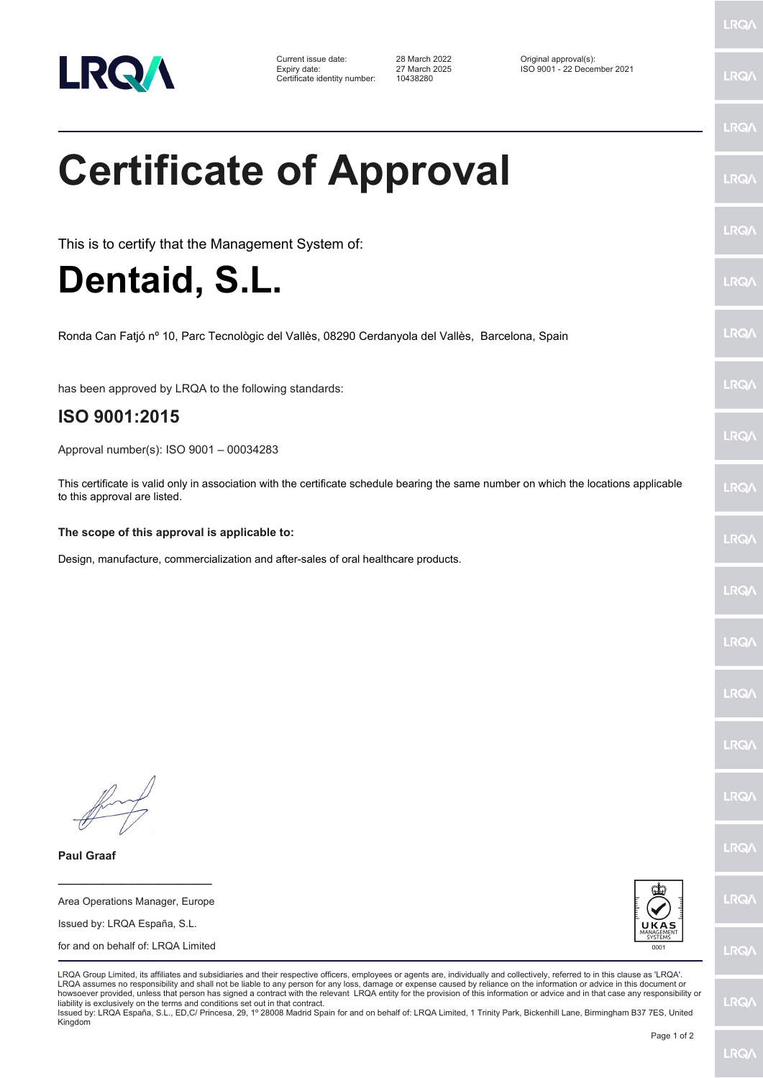

Certificate identity number: 10438280

Current issue date: 28 March 2022 Original approval(s): Expiry date: 27 March 2025 ISO 9001 - 22 December 2021

**Certificate of Approval**

This is to certify that the Management System of:

**Dentaid, S.L.**

Ronda Can Fatjó nº 10, Parc Tecnològic del Vallès, 08290 Cerdanyola del Vallès, Barcelona, Spain

has been approved by LRQA to the following standards:

## **ISO 9001:2015**

Approval number(s): ISO 9001 – 00034283

This certificate is valid only in association with the certificate schedule bearing the same number on which the locations applicable to this approval are listed.

## **The scope of this approval is applicable to:**

Design, manufacture, commercialization and after-sales of oral healthcare products.

**Paul Graaf**

Area Operations Manager, Europe Issued by: LRQA España, S.L. for and on behalf of: LRQA Limited

**\_\_\_\_\_\_\_\_\_\_\_\_\_\_\_\_\_\_\_\_\_\_\_\_**



LRQA Group Limited, its affiliates and subsidiaries and their respective officers, employees or agents are, individually and collectively, referred to in this clause as 'LRQA'. LRQA assumes no responsibility and shall not be liable to any person for any loss, damage or expense caused by reliance on the information or advice in this document or howsoever provided, unless that person has signed a contract with the relevant LRQA entity for the provision of this information or advice and in that case any responsibility or liability is exclusively on the terms and conditions set out in that contract.

Issued by: LRQA España, S.L., ED,C/ Princesa, 29, 1º 28008 Madrid Spain for and on behalf of: LRQA Limited, 1 Trinity Park, Bickenhill Lane, Birmingham B37 7ES, United Kingdom

LRQ/

LRQ/

LRQ/

LRQ/

LRQ/

LRQ/

LRQ/

LRQ/

**LRQA** 

**LRO** 

LRQ/

LRQ/

LRQ/

LRQ/

**IRQ** 

**IRQA** 

LRQ/

LRQ/

**LRQ/** 

LRQ/